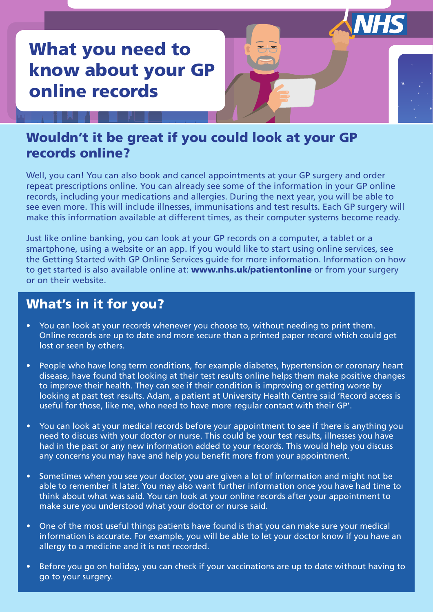# What you need to know about your GP online records

### Wouldn't it be great if you could look at your GP records online?

Well, you can! You can also book and cancel appointments at your GP surgery and order repeat prescriptions online. You can already see some of the information in your GP online records, including your medications and allergies. During the next year, you will be able to see even more. This will include illnesses, immunisations and test results. Each GP surgery will make this information available at different times, as their computer systems become ready.

**NHS** 

Just like online banking, you can look at your GP records on a computer, a tablet or a smartphone, using a website or an app. If you would like to start using online services, see the Getting Started with GP Online Services guide for more information. Information on how to get started is also available online at: www.nhs.uk/patientonline or from your surgery or on their website.

### What's in it for you?

- You can look at your records whenever you choose to, without needing to print them. Online records are up to date and more secure than a printed paper record which could get lost or seen by others.
- People who have long term conditions, for example diabetes, hypertension or coronary heart disease, have found that looking at their test results online helps them make positive changes to improve their health. They can see if their condition is improving or getting worse by looking at past test results. Adam, a patient at University Health Centre said 'Record access is useful for those, like me, who need to have more regular contact with their GP'.
- You can look at your medical records before your appointment to see if there is anything you need to discuss with your doctor or nurse. This could be your test results, illnesses you have had in the past or any new information added to your records. This would help you discuss any concerns you may have and help you benefit more from your appointment.
- Sometimes when you see your doctor, you are given a lot of information and might not be able to remember it later. You may also want further information once you have had time to think about what was said. You can look at your online records after your appointment to make sure you understood what your doctor or nurse said.
- One of the most useful things patients have found is that you can make sure your medical information is accurate. For example, you will be able to let your doctor know if you have an allergy to a medicine and it is not recorded.
- Before you go on holiday, you can check if your vaccinations are up to date without having to go to your surgery.